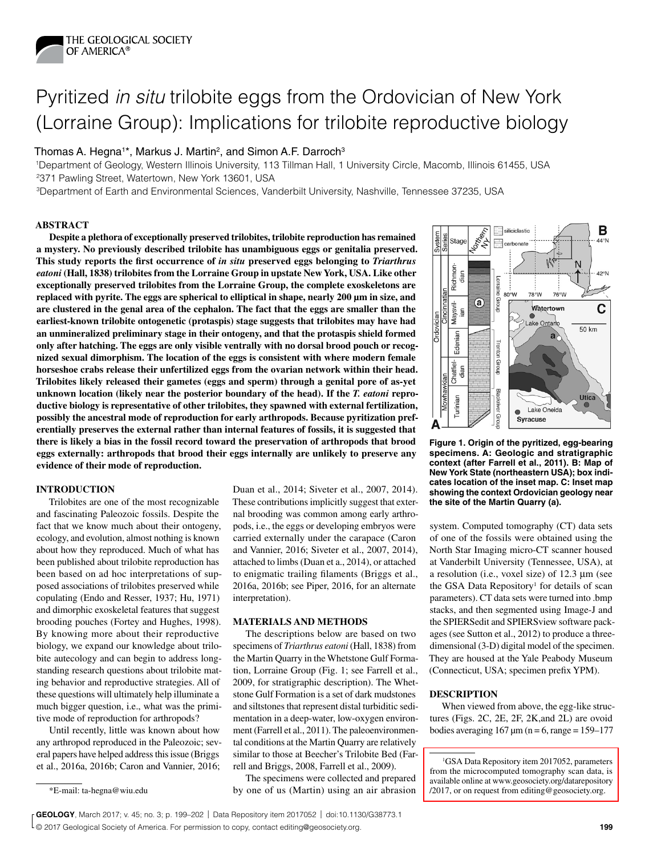

# Pyritized *in situ* trilobite eggs from the Ordovician of New York (Lorraine Group): Implications for trilobite reproductive biology

# Thomas A. Hegna<sup>1\*</sup>, Markus J. Martin<sup>2</sup>, and Simon A.F. Darroch<sup>3</sup>

1Department of Geology, Western Illinois University, 113 Tillman Hall, 1 University Circle, Macomb, Illinois 61455, USA 2371 Pawling Street, Watertown, New York 13601, USA

3Department of Earth and Environmental Sciences, Vanderbilt University, Nashville, Tennessee 37235, USA

#### **ABSTRACT**

**Despite a plethora of exceptionally preserved trilobites, trilobite reproduction has remained a mystery. No previously described trilobite has unambiguous eggs or genitalia preserved. This study reports the first occurrence of** *in situ* **preserved eggs belonging to** *Triarthrus eatoni* **(Hall, 1838) trilobites from the Lorraine Group in upstate New York, USA. Like other exceptionally preserved trilobites from the Lorraine Group, the complete exoskeletons are replaced with pyrite. The eggs are spherical to elliptical in shape, nearly 200 µm in size, and are clustered in the genal area of the cephalon. The fact that the eggs are smaller than the earliest-known trilobite ontogenetic (protaspis) stage suggests that trilobites may have had an unmineralized preliminary stage in their ontogeny, and that the protaspis shield formed only after hatching. The eggs are only visible ventrally with no dorsal brood pouch or recognized sexual dimorphism. The location of the eggs is consistent with where modern female horseshoe crabs release their unfertilized eggs from the ovarian network within their head. Trilobites likely released their gametes (eggs and sperm) through a genital pore of as-yet unknown location (likely near the posterior boundary of the head). If the** *T. eatoni* **reproductive biology is representative of other trilobites, they spawned with external fertilization, possibly the ancestral mode of reproduction for early arthropods. Because pyritization preferentially preserves the external rather than internal features of fossils, it is suggested that there is likely a bias in the fossil record toward the preservation of arthropods that brood eggs externally: arthropods that brood their eggs internally are unlikely to preserve any evidence of their mode of reproduction.**

# **INTRODUCTION**

Trilobites are one of the most recognizable and fascinating Paleozoic fossils. Despite the fact that we know much about their ontogeny, ecology, and evolution, almost nothing is known about how they reproduced. Much of what has been published about trilobite reproduction has been based on ad hoc interpretations of supposed associations of trilobites preserved while copulating (Endo and Resser, 1937; Hu, 1971) and dimorphic exoskeletal features that suggest brooding pouches (Fortey and Hughes, 1998). By knowing more about their reproductive biology, we expand our knowledge about trilobite autecology and can begin to address longstanding research questions about trilobite mating behavior and reproductive strategies. All of these questions will ultimately help illuminate a much bigger question, i.e., what was the primitive mode of reproduction for arthropods?

Until recently, little was known about how any arthropod reproduced in the Paleozoic; several papers have helped address this issue (Briggs et al., 2016a, 2016b; Caron and Vannier, 2016;

Duan et al., 2014; Siveter et al., 2007, 2014). These contributions implicitly suggest that external brooding was common among early arthropods, i.e., the eggs or developing embryos were carried externally under the carapace (Caron and Vannier, 2016; Siveter et al., 2007, 2014), attached to limbs (Duan et a., 2014), or attached to enigmatic trailing filaments (Briggs et al., 2016a, 2016b; see Piper, 2016, for an alternate interpretation).

### **MATERIALS AND METHODS**

The descriptions below are based on two specimens of *Triarthrus eatoni* (Hall, 1838) from the Martin Quarry in the Whetstone Gulf Formation, Lorraine Group (Fig. 1; see Farrell et al., 2009, for stratigraphic description). The Whetstone Gulf Formation is a set of dark mudstones and siltstones that represent distal turbiditic sedimentation in a deep-water, low-oxygen environment (Farrell et al., 2011). The paleoenvironmental conditions at the Martin Quarry are relatively similar to those at Beecher's Trilobite Bed (Farrell and Briggs, 2008, Farrell et al., 2009).

The specimens were collected and prepared by one of us (Martin) using an air abrasion \*E-mail: ta-hegna@wiu.edu /2017, or on request from editing@geosociety.org.



**Figure 1. Origin of the pyritized, egg-bearing specimens. A: Geologic and stratigraphic context (after Farrell et al., 2011). B: Map of New York State (northeastern USA); box indicates location of the inset map. C: Inset map showing the context Ordovician geology near the site of the Martin Quarry (a).**

system. Computed tomography (CT) data sets of one of the fossils were obtained using the North Star Imaging micro-CT scanner housed at Vanderbilt University (Tennessee, USA), at a resolution (i.e., voxel size) of  $12.3 \mu m$  (see the GSA Data Repository<sup>1</sup> for details of scan parameters). CT data sets were turned into .bmp stacks, and then segmented using Image-J and the SPIERSedit and SPIERSview software packages (see Sutton et al., 2012) to produce a threedimensional (3-D) digital model of the specimen. They are housed at the Yale Peabody Museum (Connecticut, USA; specimen prefix YPM).

## **DESCRIPTION**

When viewed from above, the egg-like structures (Figs. 2C, 2E, 2F, 2K,and 2L) are ovoid bodies averaging  $167 \mu m$  (n = 6, range = 159–177

<sup>&</sup>lt;sup>1</sup>GSA Data Repository item 2017052, parameters [from the microcomputed tomography scan data, is](http://www.geosociety.org/datarepository/2017/2017052.pdf)  available online at www.geosociety.org/datarepository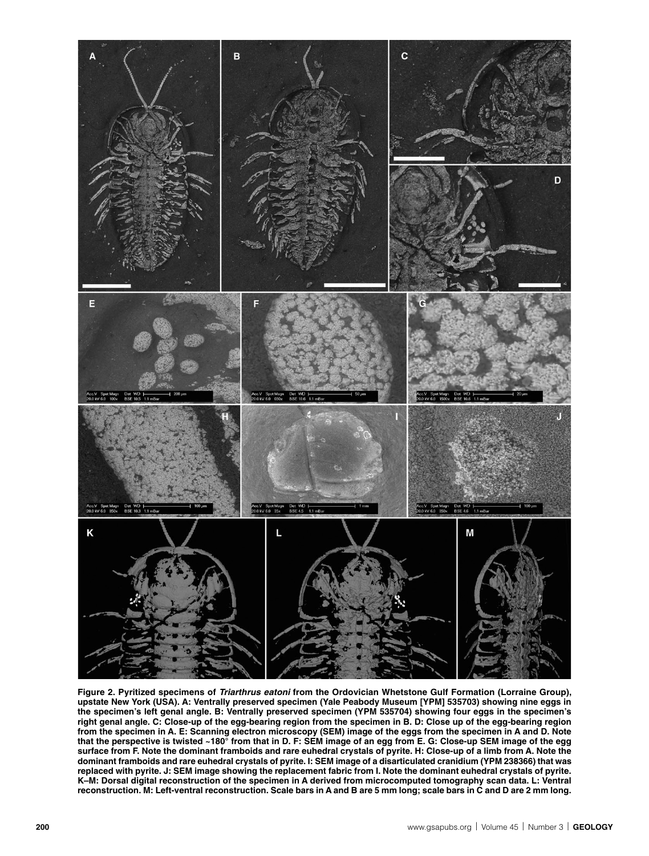

**Figure 2. Pyritized specimens of** *Triarthrus eatoni* **from the Ordovician Whetstone Gulf Formation (Lorraine Group), upstate New York (USA). A: Ventrally preserved specimen (Yale Peabody Museum [YPM] 535703) showing nine eggs in the specimen's left genal angle. B: Ventrally preserved specimen (YPM 535704) showing four eggs in the specimen's right genal angle. C: Close-up of the egg-bearing region from the specimen in B. D: Close up of the egg-bearing region from the specimen in A. E: Scanning electron microscopy (SEM) image of the eggs from the specimen in A and D. Note that the perspective is twisted ~180° from that in D. F: SEM image of an egg from E. G: Close-up SEM image of the egg surface from F. Note the dominant framboids and rare euhedral crystals of pyrite. H: Close-up of a limb from A. Note the dominant framboids and rare euhedral crystals of pyrite. I: SEM image of a disarticulated cranidium (YPM 238366) that was replaced with pyrite. J: SEM image showing the replacement fabric from I. Note the dominant euhedral crystals of pyrite. K–M: Dorsal digital reconstruction of the specimen in A derived from microcomputed tomography scan data. L: Ventral reconstruction. M: Left-ventral reconstruction. Scale bars in A and B are 5 mm long; scale bars in C and D are 2 mm long.**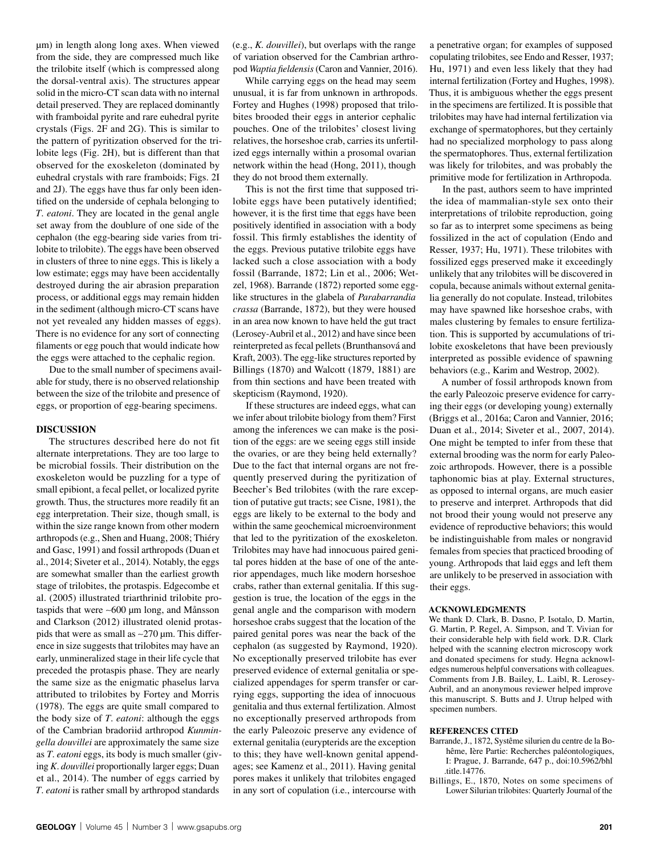µm) in length along long axes. When viewed from the side, they are compressed much like the trilobite itself (which is compressed along the dorsal-ventral axis). The structures appear solid in the micro-CT scan data with no internal detail preserved. They are replaced dominantly with framboidal pyrite and rare euhedral pyrite crystals (Figs. 2F and 2G). This is similar to the pattern of pyritization observed for the trilobite legs (Fig. 2H), but is different than that observed for the exoskeleton (dominated by euhedral crystals with rare framboids; Figs. 2I and 2J). The eggs have thus far only been identified on the underside of cephala belonging to *T*. *eatoni*. They are located in the genal angle set away from the doublure of one side of the cephalon (the egg-bearing side varies from trilobite to trilobite). The eggs have been observed in clusters of three to nine eggs. This is likely a low estimate; eggs may have been accidentally destroyed during the air abrasion preparation process, or additional eggs may remain hidden in the sediment (although micro-CT scans have not yet revealed any hidden masses of eggs). There is no evidence for any sort of connecting filaments or egg pouch that would indicate how the eggs were attached to the cephalic region.

Due to the small number of specimens available for study, there is no observed relationship between the size of the trilobite and presence of eggs, or proportion of egg-bearing specimens.

## **DISCUSSION**

The structures described here do not fit alternate interpretations. They are too large to be microbial fossils. Their distribution on the exoskeleton would be puzzling for a type of small epibiont, a fecal pellet, or localized pyrite growth. Thus, the structures more readily fit an egg interpretation. Their size, though small, is within the size range known from other modern arthropods (e.g., Shen and Huang, 2008; Thiéry and Gasc, 1991) and fossil arthropods (Duan et al., 2014; Siveter et al., 2014). Notably, the eggs are somewhat smaller than the earliest growth stage of trilobites, the protaspis. Edgecombe et al. (2005) illustrated triarthrinid trilobite protaspids that were  $\sim 600 \mu m$  long, and Månsson and Clarkson (2012) illustrated olenid protaspids that were as small as  $\sim$ 270  $\mu$ m. This difference in size suggests that trilobites may have an early, unmineralized stage in their life cycle that preceded the protaspis phase. They are nearly the same size as the enigmatic phaselus larva attributed to trilobites by Fortey and Morris (1978). The eggs are quite small compared to the body size of *T*. *eatoni*: although the eggs of the Cambrian bradoriid arthropod *Kunmingella douvillei* are approximately the same size as *T*. *eatoni* eggs, its body is much smaller (giving *K*. *douvillei* proportionally larger eggs; Duan et al., 2014). The number of eggs carried by *T*. *eatoni* is rather small by arthropod standards

(e.g., *K. douvillei*), but overlaps with the range of variation observed for the Cambrian arthropod *Waptia fieldensis* (Caron and Vannier, 2016).

While carrying eggs on the head may seem unusual, it is far from unknown in arthropods. Fortey and Hughes (1998) proposed that trilobites brooded their eggs in anterior cephalic pouches. One of the trilobites' closest living relatives, the horseshoe crab, carries its unfertilized eggs internally within a prosomal ovarian network within the head (Hong, 2011), though they do not brood them externally.

This is not the first time that supposed trilobite eggs have been putatively identified; however, it is the first time that eggs have been positively identified in association with a body fossil. This firmly establishes the identity of the eggs. Previous putative trilobite eggs have lacked such a close association with a body fossil (Barrande, 1872; Lin et al., 2006; Wetzel, 1968). Barrande (1872) reported some egglike structures in the glabela of *Parabarrandia crassa* (Barrande, 1872), but they were housed in an area now known to have held the gut tract (Lerosey-Aubril et al., 2012) and have since been reinterpreted as fecal pellets (Brunthansová and Kraft, 2003). The egg-like structures reported by Billings (1870) and Walcott (1879, 1881) are from thin sections and have been treated with skepticism (Raymond, 1920).

If these structures are indeed eggs, what can we infer about trilobite biology from them? First among the inferences we can make is the position of the eggs: are we seeing eggs still inside the ovaries, or are they being held externally? Due to the fact that internal organs are not frequently preserved during the pyritization of Beecher's Bed trilobites (with the rare exception of putative gut tracts; see Cisne, 1981), the eggs are likely to be external to the body and within the same geochemical microenvironment that led to the pyritization of the exoskeleton. Trilobites may have had innocuous paired genital pores hidden at the base of one of the anterior appendages, much like modern horseshoe crabs, rather than external genitalia. If this suggestion is true, the location of the eggs in the genal angle and the comparison with modern horseshoe crabs suggest that the location of the paired genital pores was near the back of the cephalon (as suggested by Raymond, 1920). No exceptionally preserved trilobite has ever preserved evidence of external genitalia or specialized appendages for sperm transfer or carrying eggs, supporting the idea of innocuous genitalia and thus external fertilization. Almost no exceptionally preserved arthropods from the early Paleozoic preserve any evidence of external genitalia (eurypterids are the exception to this; they have well-known genital appendages; see Kamenz et al., 2011). Having genital pores makes it unlikely that trilobites engaged in any sort of copulation (i.e., intercourse with

a penetrative organ; for examples of supposed copulating trilobites, see Endo and Resser, 1937; Hu, 1971) and even less likely that they had internal fertilization (Fortey and Hughes, 1998). Thus, it is ambiguous whether the eggs present in the specimens are fertilized. It is possible that trilobites may have had internal fertilization via exchange of spermatophores, but they certainly had no specialized morphology to pass along the spermatophores. Thus, external fertilization was likely for trilobites, and was probably the primitive mode for fertilization in Arthropoda.

In the past, authors seem to have imprinted the idea of mammalian-style sex onto their interpretations of trilobite reproduction, going so far as to interpret some specimens as being fossilized in the act of copulation (Endo and Resser, 1937; Hu, 1971). These trilobites with fossilized eggs preserved make it exceedingly unlikely that any trilobites will be discovered in copula, because animals without external genitalia generally do not copulate. Instead, trilobites may have spawned like horseshoe crabs, with males clustering by females to ensure fertilization. This is supported by accumulations of trilobite exoskeletons that have been previously interpreted as possible evidence of spawning behaviors (e.g., Karim and Westrop, 2002).

A number of fossil arthropods known from the early Paleozoic preserve evidence for carrying their eggs (or developing young) externally (Briggs et al., 2016a; Caron and Vannier, 2016; Duan et al., 2014; Siveter et al., 2007, 2014). One might be tempted to infer from these that external brooding was the norm for early Paleozoic arthropods. However, there is a possible taphonomic bias at play. External structures, as opposed to internal organs, are much easier to preserve and interpret. Arthropods that did not brood their young would not preserve any evidence of reproductive behaviors; this would be indistinguishable from males or nongravid females from species that practiced brooding of young. Arthropods that laid eggs and left them are unlikely to be preserved in association with their eggs.

#### **ACKNOWLEDGMENTS**

We thank D. Clark, B. Dasno, P. Isotalo, D. Martin, G. Martin, P. Regel, A. Simpson, and T. Vivian for their considerable help with field work. D.R. Clark helped with the scanning electron microscopy work and donated specimens for study. Hegna acknowledges numerous helpful conversations with colleagues. Comments from J.B. Bailey, L. Laibl, R. Lerosey-Aubril, and an anonymous reviewer helped improve this manuscript. S. Butts and J. Utrup helped with specimen numbers.

#### **REFERENCES CITED**

- Barrande, J., 1872, Systême silurien du centre de la Bohême, Ière Partie: Recherches paléontologiques, I: Prague, J. Barrande, 647 p., doi:10.5962/bhl .title.14776.
- Billings, E., 1870, Notes on some specimens of Lower Silurian trilobites: Quarterly Journal of the